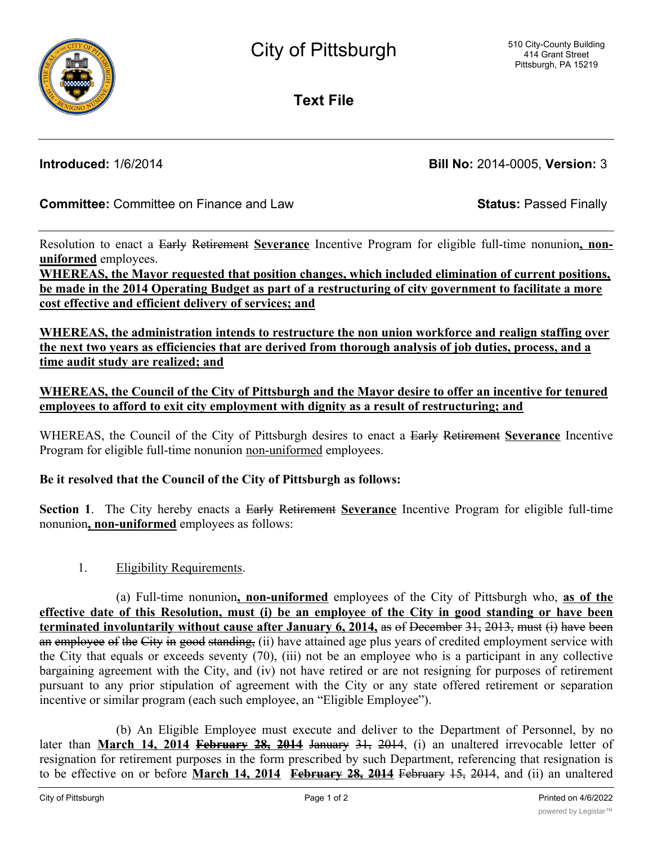**Text File**

**Introduced:** 1/6/2014 **Bill No:** 2014-0005, **Version:** 3

**Committee:** Committee on Finance and Law **Status:** Passed Finally

Resolution to enact a Early Retirement **Severance** Incentive Program for eligible full-time nonunion**, nonuniformed** employees.

**WHEREAS, the Mayor requested that position changes, which included elimination of current positions, be made in the 2014 Operating Budget as part of a restructuring of city government to facilitate a more cost effective and efficient delivery of services; and**

**WHEREAS, the administration intends to restructure the non union workforce and realign staffing over the next two years as efficiencies that are derived from thorough analysis of job duties, process, and a time audit study are realized; and**

## **WHEREAS, the Council of the City of Pittsburgh and the Mayor desire to offer an incentive for tenured employees to afford to exit city employment with dignity as a result of restructuring; and**

WHEREAS, the Council of the City of Pittsburgh desires to enact a Early Retirement **Severance** Incentive Program for eligible full-time nonunion non-uniformed employees.

## **Be it resolved that the Council of the City of Pittsburgh as follows:**

**Section 1**. The City hereby enacts a Early Retirement **Severance** Incentive Program for eligible full-time nonunion**, non-uniformed** employees as follows:

1. Eligibility Requirements.

(a) Full-time nonunion**, non-uniformed** employees of the City of Pittsburgh who, **as of the** effective date of this Resolution, must (i) be an employee of the City in good standing or have been **terminated involuntarily without cause after January 6, 2014,** as of December 31, 2013, must (i) have been an employee of the City in good standing, (ii) have attained age plus years of credited employment service with the City that equals or exceeds seventy (70), (iii) not be an employee who is a participant in any collective bargaining agreement with the City, and (iv) not have retired or are not resigning for purposes of retirement pursuant to any prior stipulation of agreement with the City or any state offered retirement or separation incentive or similar program (each such employee, an "Eligible Employee").

(b) An Eligible Employee must execute and deliver to the Department of Personnel, by no later than **March 14, 2014 February 28, 2014** January 31, 2014, (i) an unaltered irrevocable letter of resignation for retirement purposes in the form prescribed by such Department, referencing that resignation is to be effective on or before **March 14, 2014 February 28, 2014** February 15, 2014, and (ii) an unaltered